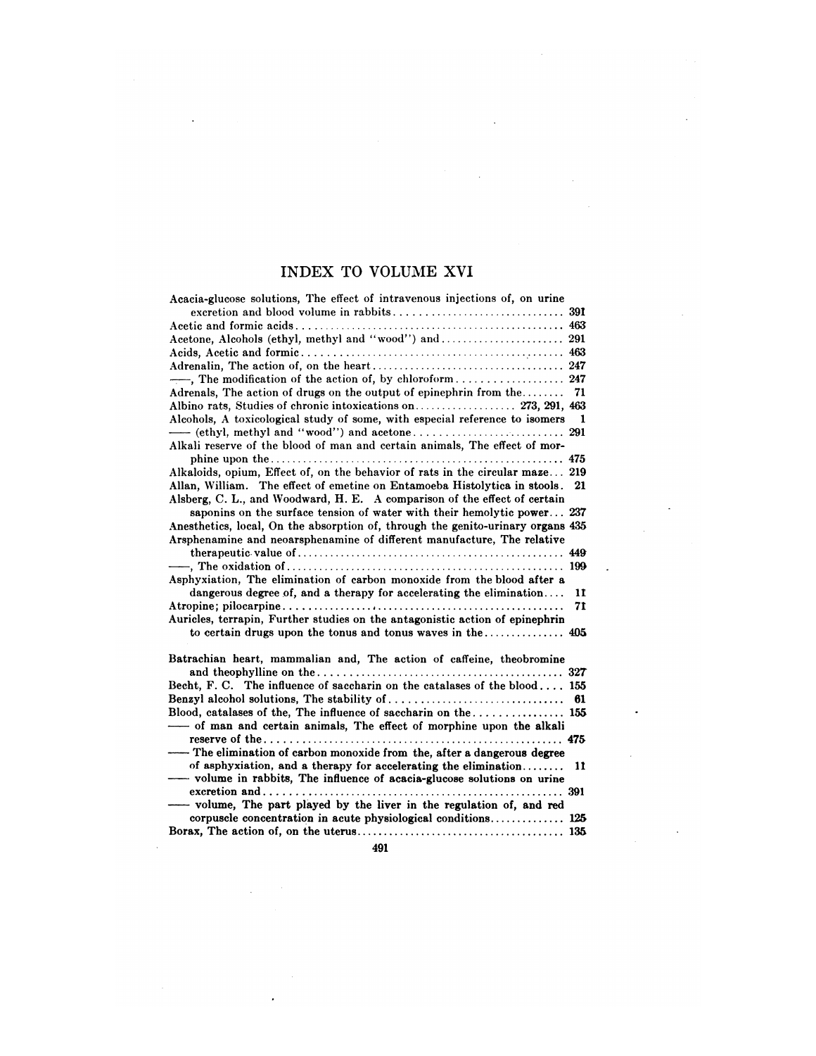## INDEX TO VOLUME XVI

 $\ddot{\phantom{a}}$ 

 $\mathcal{L}^{\pm}$ 

 $\bar{\mathcal{A}}$ 

 $\ddot{\phantom{1}}$ 

 $\sim 10$ 

 $\mathcal{L}_{\mathbf{q}}$  , and  $\mathcal{L}_{\mathbf{q}}$ 

 $\sim$ 

 $\hat{\boldsymbol{\cdot}$ 

| Acacia-glucose solutions, The effect of intravenous injections of, on urine                                                                           |     |
|-------------------------------------------------------------------------------------------------------------------------------------------------------|-----|
|                                                                                                                                                       |     |
| Acetone, Alcohols (ethyl, methyl and "wood") and  291                                                                                                 |     |
|                                                                                                                                                       |     |
|                                                                                                                                                       |     |
|                                                                                                                                                       |     |
|                                                                                                                                                       |     |
| Adrenals, The action of drugs on the output of epinephrin from the                                                                                    | 71  |
|                                                                                                                                                       |     |
| Alcohols, A toxicological study of some, with especial reference to isomers                                                                           | 1   |
|                                                                                                                                                       | 291 |
| Alkali reserve of the blood of man and certain animals. The effect of mor-                                                                            |     |
| $\mathbf{while} \ \mathbf{upon} \ \mathbf{the} \dots \dots \dots \dots \dots \dots \dots \dots \dots \dots \dots \dots \dots \dots \dots \dots \dots$ | 475 |
| Alkaloids, opium, Effect of, on the behavior of rats in the circular maze 219                                                                         |     |
| Allan, William. The effect of emetine on Entamoeba Histolytica in stools.                                                                             | 21  |
| Alsberg, C. L., and Woodward, H. E. A comparison of the effect of certain                                                                             |     |
| saponing on the surface tension of water with their hemolytic power 237                                                                               |     |
| Anesthetics, local, On the absorption of, through the genito-urinary organs 435                                                                       |     |
| Arsphenamine and neoarsphenamine of different manufacture, The relative                                                                               |     |
|                                                                                                                                                       |     |
|                                                                                                                                                       | 199 |
| Asphyxiation. The elimination of carbon monoxide from the blood after a                                                                               |     |
| dangerous degree of, and a therapy for accelerating the elimination                                                                                   | 11  |
|                                                                                                                                                       | 71  |
| Auricles, terrapin, Further studies on the antagonistic action of epinephrin                                                                          |     |
|                                                                                                                                                       |     |
|                                                                                                                                                       |     |
| Batrachian heart, mammalian and, The action of caffeine, theobromine                                                                                  |     |
|                                                                                                                                                       |     |
| Becht, F. C. The influence of saccharin on the catalases of the blood 155                                                                             |     |
|                                                                                                                                                       | 61  |
| Blood, catalases of the, The influence of saccharin on the  155                                                                                       |     |
| -of man and certain animals, The effect of morphine upon the alkali                                                                                   |     |
|                                                                                                                                                       |     |
| The elimination of carbon monoxide from the, after a dangerous degree                                                                                 |     |
| of asphyxiation, and a therapy for accelerating the elimination                                                                                       | 11  |
| - volume in rabbits, The influence of acacia-glucose solutions on urine                                                                               |     |
|                                                                                                                                                       |     |
| - volume, The part played by the liver in the regulation of, and red                                                                                  |     |
| corpuscle concentration in acute physiological conditions 125                                                                                         |     |
|                                                                                                                                                       |     |
|                                                                                                                                                       |     |

491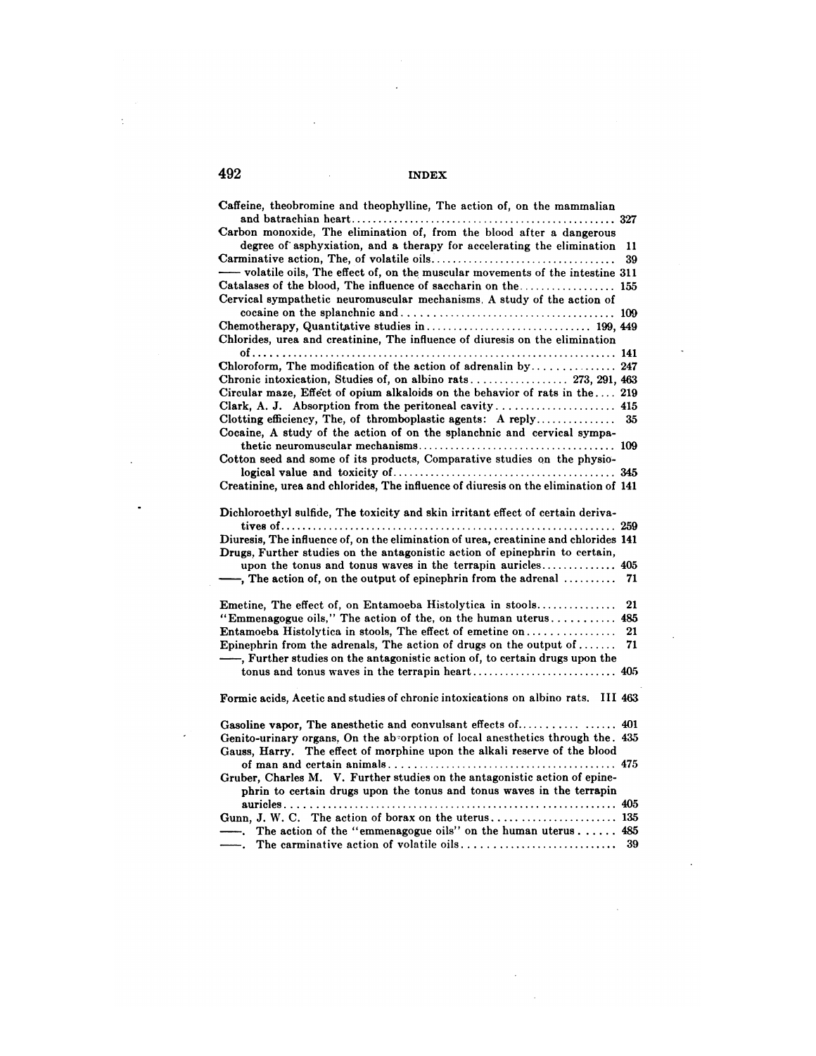$\sim$ 

 $\sim 10$ 

 $\hat{\mathcal{L}}$ 

 $\sim 10^{-10}$  $\bar{z}$ 

| Caffeine, theobromine and theophylline, The action of, on the mammalian              |     |
|--------------------------------------------------------------------------------------|-----|
|                                                                                      |     |
| Carbon monoxide, The elimination of, from the blood after a dangerous                |     |
| degree of asphyxiation, and a therapy for accelerating the elimination               | 11  |
|                                                                                      | 39  |
| -volatile oils, The effect of, on the muscular movements of the intestine 311        |     |
|                                                                                      |     |
| Cervical sympathetic neuromuscular mechanisms. A study of the action of              |     |
|                                                                                      |     |
|                                                                                      |     |
| Chlorides, urea and creatinine, The influence of diuresis on the elimination         |     |
|                                                                                      |     |
| Chloroform, The modification of the action of adrenal in by 247                      |     |
|                                                                                      |     |
| Circular maze, Effect of opium alkaloids on the behavior of rats in the 219          |     |
| Clark, A. J. Absorption from the peritoneal cavity 415                               |     |
| Clotting efficiency, The, of thromboplastic agents: A reply                          | 35  |
| Cocaine, A study of the action of on the splanchnic and cervical sympa-              |     |
|                                                                                      |     |
| Cotton seed and some of its products, Comparative studies on the physio-             |     |
|                                                                                      |     |
| Creatinine, urea and chlorides, The influence of diuresis on the elimination of 141  |     |
|                                                                                      |     |
| Dichloroethyl sulfide, The toxicity and skin irritant effect of certain deriva-      |     |
|                                                                                      |     |
| Diuresis, The influence of, on the elimination of urea, creatinine and chlorides 141 |     |
| Drugs, Further studies on the antagonistic action of epinephrin to certain,          |     |
|                                                                                      |     |
| $\rightarrow$ , The action of, on the output of epinephrin from the adrenal          | 71  |
|                                                                                      |     |
| Emetine, The effect of, on Entamoeba Histolytica in stools                           | 21  |
| "Emmenagogue oils," The action of the, on the human uterus                           | 485 |
| <b>Entamoeba Histolytica in stools, The effect of emetine on</b>                     | 21  |
| Epinephrin from the adrenals, The action of drugs on the output of                   | 71  |
| -, Further studies on the antagonistic action of, to certain drugs upon the          |     |
|                                                                                      |     |
|                                                                                      |     |
| Formic acids, Acetic and studies of chronic intoxications on albino rats. III 463    |     |
|                                                                                      |     |
|                                                                                      |     |
| Genito-urinary organs, On the absorption of local anesthetics through the. $435$     |     |
| Gauss, Harry. The effect of morphine upon the alkali reserve of the blood            |     |
|                                                                                      |     |
| Gruber, Charles M. V. Further studies on the antagonistic action of epine-           |     |
| phrin to certain drugs upon the tonus and tonus waves in the terrapin                |     |
|                                                                                      |     |
|                                                                                      |     |
| ---. The action of the "emmenagogue oils" on the human uterus 485                    |     |
|                                                                                      | 39  |
|                                                                                      |     |

 $\bar{\mathcal{A}}$ 

 $\bar{\gamma}$ 

 $\ddot{\phantom{a}}$ 

 $\ddot{\phantom{a}}$ 

 $\bar{\mathcal{A}}$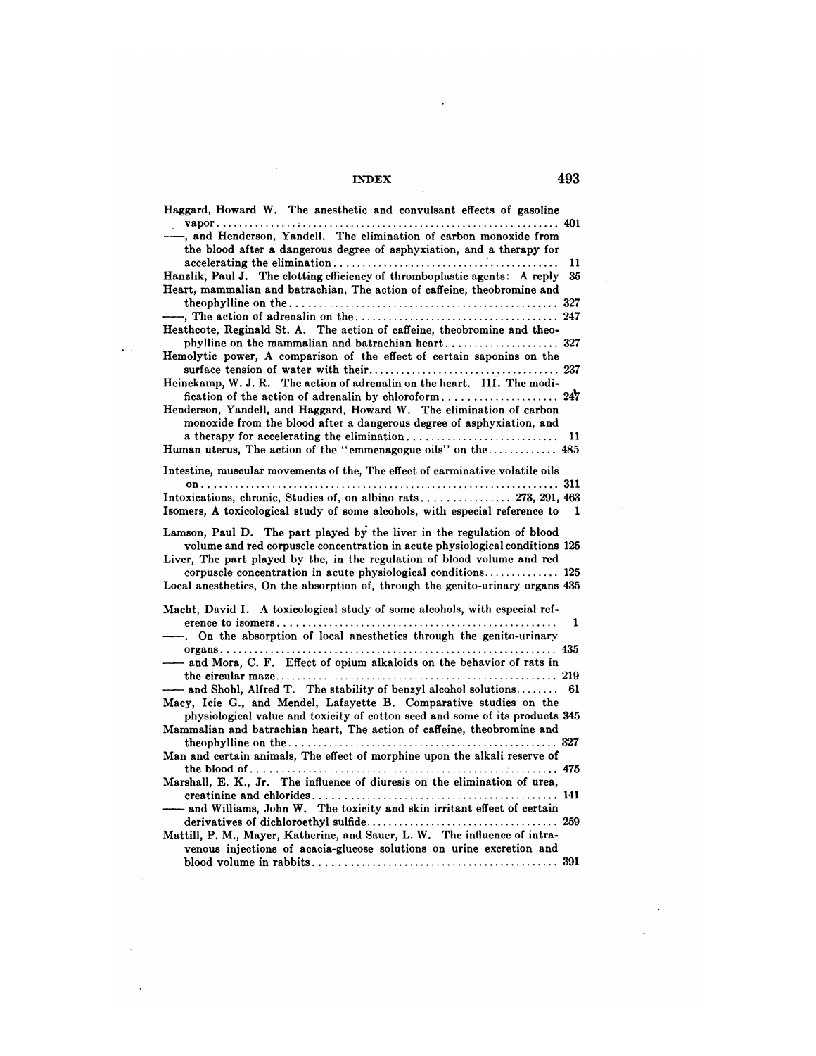$\sim$ 

 $\sim 10^{11}$ 

 $\sim$   $\sim$ 

 $\mathbb{R}^2$ 

| Haggard, Howard W. The anesthetic and convulsant effects of gasoline                                                                        |    |
|---------------------------------------------------------------------------------------------------------------------------------------------|----|
| -, and Henderson, Yandell. The elimination of carbon monoxide from<br>the blood after a dangerous degree of asphyxiation, and a therapy for |    |
|                                                                                                                                             | 11 |
| Hanzlik, Paul J. The clotting efficiency of thromboplastic agents: A reply                                                                  | 35 |
| Heart, mammalian and batrachian, The action of caffeine, theobromine and                                                                    |    |
|                                                                                                                                             |    |
| Heathcote, Reginald St. A. The action of caffeine, theobromine and theo-                                                                    |    |
|                                                                                                                                             |    |
| Hemolytic power, A comparison of the effect of certain saponins on the                                                                      |    |
|                                                                                                                                             |    |
| Heinekamp, W. J. R. The action of adrenalin on the heart. III. The modi-                                                                    |    |
|                                                                                                                                             |    |
| Henderson, Yandell, and Haggard, Howard W. The elimination of carbon                                                                        |    |
| monoxide from the blood after a dangerous degree of asphyxiation, and                                                                       |    |
| 11                                                                                                                                          |    |
| Human uterus, The action of the "emmenagogue oils" on the 485                                                                               |    |
|                                                                                                                                             |    |
| Intestine, muscular movements of the, The effect of carminative volatile oils                                                               |    |
| Intoxications, chronic, Studies of, on albino rats 273, 291, 463                                                                            |    |
| Isomers, A toxicological study of some alcohols, with especial reference to                                                                 | 1  |
|                                                                                                                                             |    |
| Lamson, Paul D. The part played by the liver in the regulation of blood                                                                     |    |
| volume and red corpuscle concentration in acute physiological conditions 125                                                                |    |
| Liver, The part played by the, in the regulation of blood volume and red                                                                    |    |
|                                                                                                                                             |    |
| Local anesthetics, On the absorption of, through the genito-urinary organs 435                                                              |    |
| Macht, David I. A toxicological study of some alcohols, with especial ref-                                                                  |    |
|                                                                                                                                             | 1  |
| On the absorption of local anesthetics through the genito-urinary                                                                           |    |
|                                                                                                                                             |    |
| -and Mora, C. F. Effect of opium alkaloids on the behavior of rats in                                                                       |    |
|                                                                                                                                             |    |
| - and Shohl, Alfred T. The stability of benzyl alcohol solutions<br>61                                                                      |    |
| Macy, Icie G., and Mendel, Lafayette B. Comparative studies on the                                                                          |    |
| physiological value and toxicity of cotton seed and some of its products 345                                                                |    |
| Mammalian and batrachian heart, The action of caffeine, theobromine and                                                                     |    |
|                                                                                                                                             |    |
| Man and certain animals, The effect of morphine upon the alkali reserve of                                                                  |    |
|                                                                                                                                             |    |
| Marshall, E. K., Jr. The influence of diuresis on the elimination of urea,                                                                  |    |
|                                                                                                                                             |    |
| - and Williams, John W. The toxicity and skin irritant effect of certain                                                                    |    |
| Mattill, P. M., Mayer, Katherine, and Sauer, L. W. The influence of intra-                                                                  |    |
| venous injections of acacia-glucose solutions on urine excretion and                                                                        |    |
|                                                                                                                                             |    |
|                                                                                                                                             |    |

 $\sim 40\,$  km  $^{-1}$ 

 $\ddot{\phantom{a}}$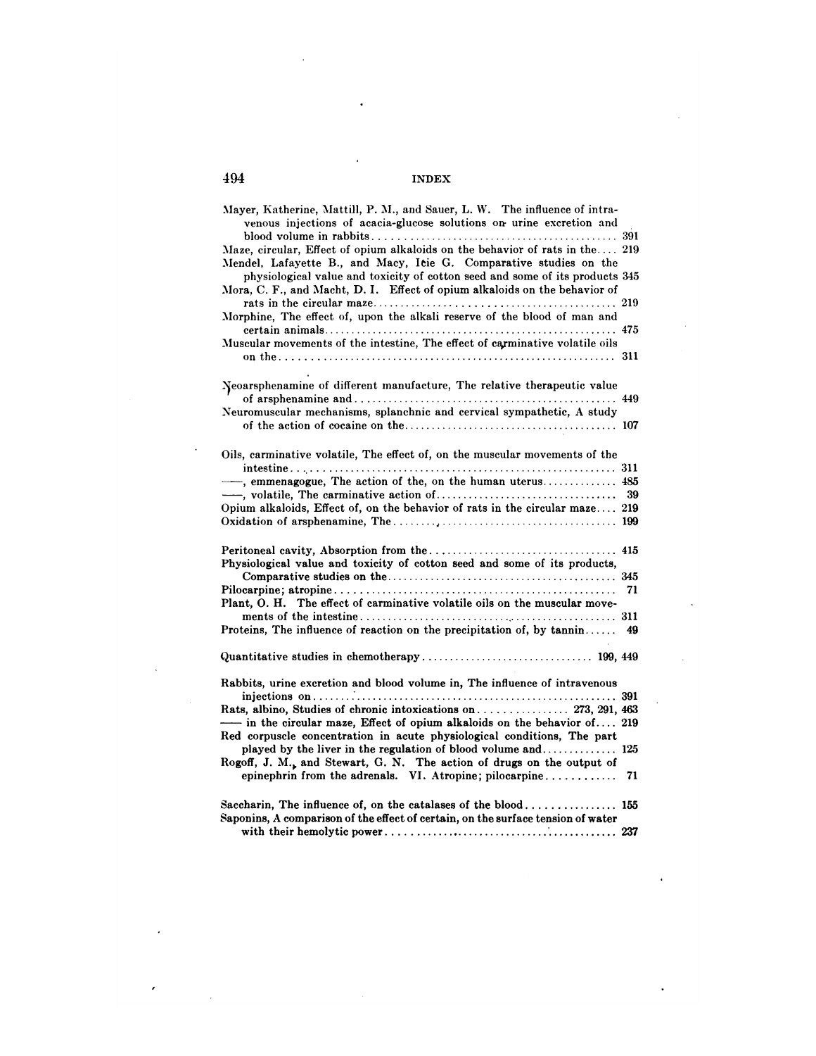| Mayer, Katherine, Mattill, P. M., and Sauer, L. W. The influence of intra-<br>venous injections of acacia-glucose solutions on urine excretion and |    |
|----------------------------------------------------------------------------------------------------------------------------------------------------|----|
| Maze, circular, Effect of opium alkaloids on the behavior of rats in the 219                                                                       |    |
| Mendel, Lafayette B., and Macy, Icie G. Comparative studies on the<br>physiological value and toxicity of cotton seed and some of its products 345 |    |
| Mora, C. F., and Macht, D. I. Effect of opium alkaloids on the behavior of                                                                         |    |
| Morphine, The effect of, upon the alkali reserve of the blood of man and                                                                           |    |
| Muscular movements of the intestine, The effect of carminative volatile oils                                                                       |    |
| Neoarsphenamine of different manufacture, The relative therapeutic value                                                                           |    |
| Neuromuscular mechanisms, splanchnic and cervical sympathetic, A study                                                                             |    |
|                                                                                                                                                    |    |
| Oils, carminative volatile, The effect of, on the muscular movements of the                                                                        |    |
|                                                                                                                                                    |    |
|                                                                                                                                                    |    |
|                                                                                                                                                    | 39 |
| Opium alkaloids, Effect of, on the behavior of rats in the circular maze 219                                                                       |    |
| Physiological value and toxicity of cotton seed and some of its products,                                                                          |    |
|                                                                                                                                                    |    |
| Plant, O. H. The effect of carminative volatile oils on the muscular move-                                                                         | 71 |
| Proteins, The influence of reaction on the precipitation of, by tannin                                                                             | 49 |
|                                                                                                                                                    |    |
| Rabbits, urine excretion and blood volume in, The influence of intravenous                                                                         |    |
|                                                                                                                                                    |    |
| Rats, albino, Studies of chronic intoxications on 273, 291, 463<br>- in the circular maze, Effect of opium alkaloids on the behavior of 219        |    |
| Red corpuscle concentration in acute physiological conditions, The part<br>played by the liver in the regulation of blood volume and 125           |    |
| Rogoff, J. M., and Stewart, G. N. The action of drugs on the output of<br>epinephrin from the adrenals. VI. Atropine; pilocarpine                  | 71 |
|                                                                                                                                                    |    |
| Saccharin, The influence of, on the catalases of the blood 155<br>Saponins, A comparison of the effect of certain, on the surface tension of water |    |
|                                                                                                                                                    |    |

 $\ddot{\phantom{a}}$ 

 $\hat{\boldsymbol{\theta}}$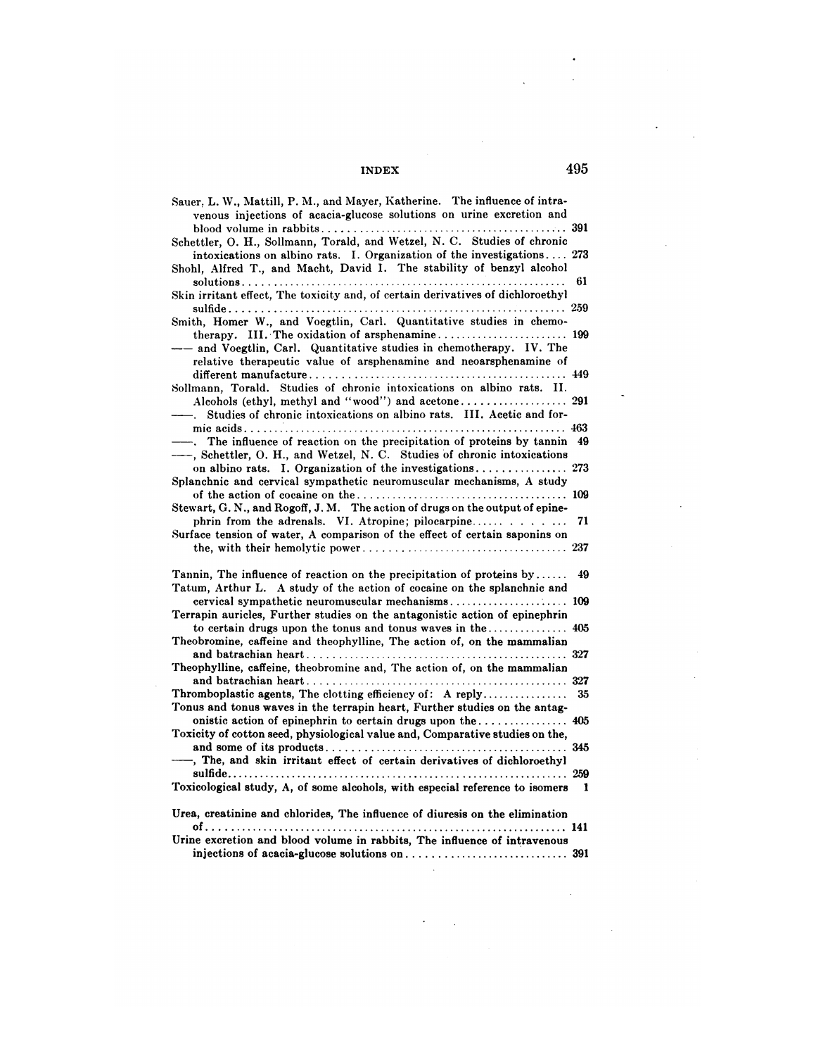| Sauer, L. W., Mattill, P. M., and Mayer, Katherine. The influence of intra-<br>venous injections of acacia-glucose solutions on urine excretion and   |    |
|-------------------------------------------------------------------------------------------------------------------------------------------------------|----|
|                                                                                                                                                       |    |
| Schettler, O. H., Sollmann, Torald, and Wetzel, N. C. Studies of chronic<br>intoxications on albino rats. I. Organization of the investigations 273   |    |
| Shohl, Alfred T., and Macht, David I. The stability of benzyl alcohol                                                                                 |    |
| Skin irritant effect, The toxicity and, of certain derivatives of dichloroethyl                                                                       | 61 |
|                                                                                                                                                       |    |
| Smith, Homer W., and Voegtlin, Carl. Quantitative studies in chemo-                                                                                   |    |
| -- and Voegtlin, Carl. Quantitative studies in chemotherapy. IV. The<br>relative therapeutic value of arsphenamine and neoarsphenamine of             |    |
|                                                                                                                                                       |    |
| Sollmann, Torald. Studies of chronic intoxications on albino rats. II.                                                                                |    |
| Studies of chronic intoxications on albino rats. III. Acetic and for-                                                                                 |    |
|                                                                                                                                                       |    |
| -. The influence of reaction on the precipitation of proteins by tannin<br>----, Schettler, O. H., and Wetzel, N. C. Studies of chronic intoxications | 49 |
| on albino rats. I. Organization of the investigations 273                                                                                             |    |
| Splanchnic and cervical sympathetic neuromuscular mechanisms, A study                                                                                 |    |
| Stewart, G. N., and Rogoff, J. M. The action of drugs on the output of epine-                                                                         |    |
| phrin from the adrenals. VI. Atropine; pilocarpine                                                                                                    | 71 |
| Surface tension of water, A comparison of the effect of certain saponins on                                                                           |    |
|                                                                                                                                                       |    |
| Tannin, The influence of reaction on the precipitation of proteins by<br>Tatum, Arthur L. A study of the action of cocaine on the splanchnic and      | 49 |
| cervical sympathetic neuromuscular mechanisms 109                                                                                                     |    |
| Terrapin auricles, Further studies on the antagonistic action of epinephrin                                                                           |    |
|                                                                                                                                                       |    |
| Theobromine, caffeine and theophylline, The action of, on the mammalian                                                                               |    |
| Theophylline, caffeine, theobromine and, The action of, on the mammalian                                                                              |    |
|                                                                                                                                                       |    |
| Thromboplastic agents, The clotting efficiency of: A reply                                                                                            | 35 |
| Tonus and tonus waves in the terrapin heart, Further studies on the antag-                                                                            |    |
|                                                                                                                                                       |    |
| Toxicity of cotton seed, physiological value and, Comparative studies on the,                                                                         |    |
| -, The, and skin irritant effect of certain derivatives of dichloroethyl                                                                              |    |
|                                                                                                                                                       |    |
| Toxicological study, A, of some alcohols, with especial reference to isomers                                                                          | 1  |
| Urea, creatinine and chlorides, The influence of diuresis on the elimination                                                                          |    |
|                                                                                                                                                       |    |
| Urine excretion and blood volume in rabbits, The influence of intravenous                                                                             |    |
|                                                                                                                                                       |    |

 $\sim 10^7$ 

 $\epsilon = \frac{1}{2}$ 

 $\mathcal{A}^{\text{out}}$ 

 $\sim 10$ 

 $\ddot{\phantom{0}}$ 

 $\hat{\mathcal{A}}$ 

 $\bar{z}$ 

 $\mathcal{A}^{\mathcal{A}}$ 

 $\ddot{\phantom{a}}$ 

 $\ddot{\phantom{a}}$ 

 $\ddot{\phantom{a}}$